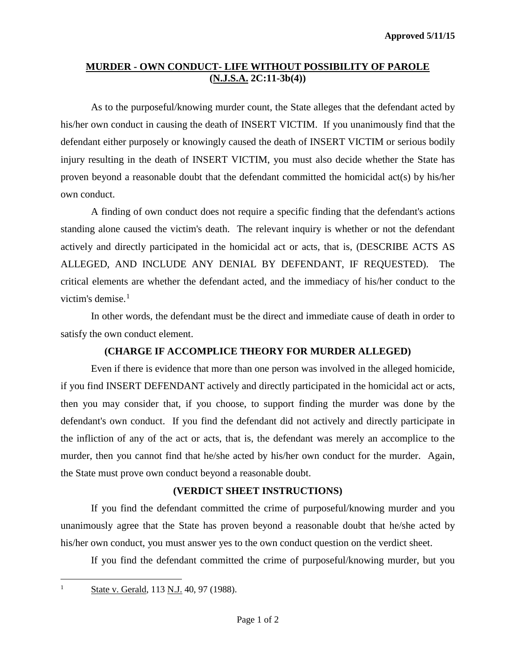## **MURDER - OWN CONDUCT- LIFE WITHOUT POSSIBILITY OF PAROLE (N.J.S.A. 2C:11-3b(4))**

As to the purposeful/knowing murder count, the State alleges that the defendant acted by his/her own conduct in causing the death of INSERT VICTIM. If you unanimously find that the defendant either purposely or knowingly caused the death of INSERT VICTIM or serious bodily injury resulting in the death of INSERT VICTIM, you must also decide whether the State has proven beyond a reasonable doubt that the defendant committed the homicidal act(s) by his/her own conduct.

A finding of own conduct does not require a specific finding that the defendant's actions standing alone caused the victim's death. The relevant inquiry is whether or not the defendant actively and directly participated in the homicidal act or acts, that is, (DESCRIBE ACTS AS ALLEGED, AND INCLUDE ANY DENIAL BY DEFENDANT, IF REQUESTED). The critical elements are whether the defendant acted, and the immediacy of his/her conduct to the victim's demise. $<sup>1</sup>$  $<sup>1</sup>$  $<sup>1</sup>$ </sup>

In other words, the defendant must be the direct and immediate cause of death in order to satisfy the own conduct element.

## **(CHARGE IF ACCOMPLICE THEORY FOR MURDER ALLEGED)**

Even if there is evidence that more than one person was involved in the alleged homicide, if you find INSERT DEFENDANT actively and directly participated in the homicidal act or acts, then you may consider that, if you choose, to support finding the murder was done by the defendant's own conduct. If you find the defendant did not actively and directly participate in the infliction of any of the act or acts, that is, the defendant was merely an accomplice to the murder, then you cannot find that he/she acted by his/her own conduct for the murder. Again, the State must prove own conduct beyond a reasonable doubt.

## **(VERDICT SHEET INSTRUCTIONS)**

If you find the defendant committed the crime of purposeful/knowing murder and you unanimously agree that the State has proven beyond a reasonable doubt that he/she acted by his/her own conduct, you must answer yes to the own conduct question on the verdict sheet.

If you find the defendant committed the crime of purposeful/knowing murder, but you

<span id="page-0-0"></span> $\overline{a}$ 

<sup>&</sup>lt;sup>1</sup> State v. Gerald, 113 N.J. 40, 97 (1988).